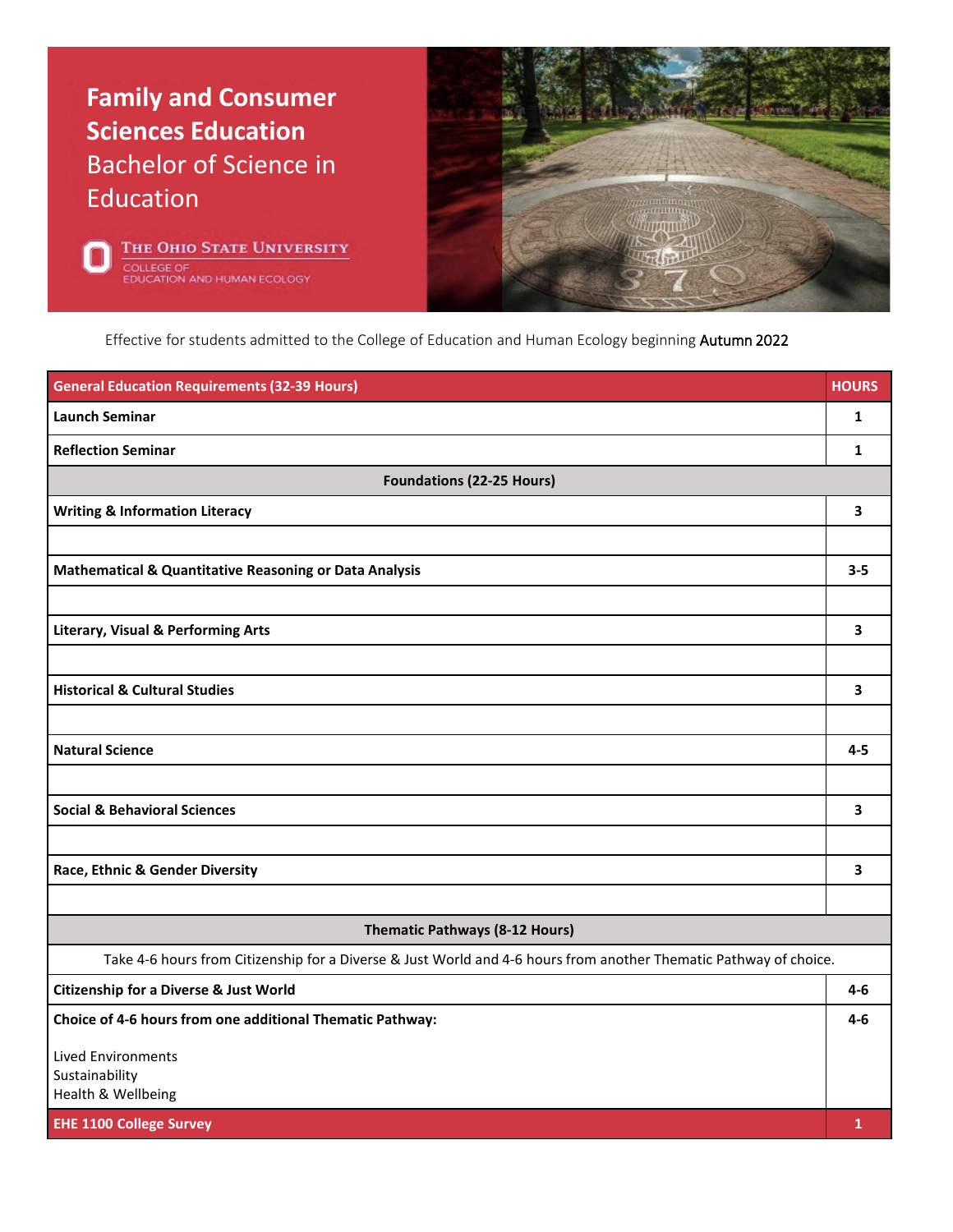





Effective for students admitted to the College of Education and Human Ecology beginning Autumn 2022

| <b>General Education Requirements (32-39 Hours)</b>                                                               | <b>HOURS</b> |
|-------------------------------------------------------------------------------------------------------------------|--------------|
| <b>Launch Seminar</b>                                                                                             | 1            |
| <b>Reflection Seminar</b>                                                                                         | 1            |
| <b>Foundations (22-25 Hours)</b>                                                                                  |              |
| <b>Writing &amp; Information Literacy</b>                                                                         | 3            |
|                                                                                                                   |              |
| Mathematical & Quantitative Reasoning or Data Analysis                                                            | $3 - 5$      |
|                                                                                                                   |              |
| <b>Literary, Visual &amp; Performing Arts</b>                                                                     | 3            |
|                                                                                                                   |              |
| <b>Historical &amp; Cultural Studies</b>                                                                          | 3            |
|                                                                                                                   |              |
| <b>Natural Science</b>                                                                                            | $4 - 5$      |
|                                                                                                                   |              |
| <b>Social &amp; Behavioral Sciences</b>                                                                           | 3            |
|                                                                                                                   |              |
| Race, Ethnic & Gender Diversity                                                                                   | 3            |
|                                                                                                                   |              |
| <b>Thematic Pathways (8-12 Hours)</b>                                                                             |              |
| Take 4-6 hours from Citizenship for a Diverse & Just World and 4-6 hours from another Thematic Pathway of choice. |              |
| <b>Citizenship for a Diverse &amp; Just World</b>                                                                 | $4-6$        |
| Choice of 4-6 hours from one additional Thematic Pathway:                                                         | $4-6$        |
| <b>Lived Environments</b>                                                                                         |              |
| Sustainability<br>Health & Wellbeing                                                                              |              |
| <b>EHE 1100 College Survey</b>                                                                                    | $\mathbf{1}$ |